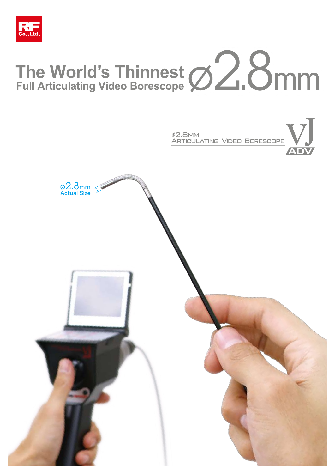

# The World's Thinnest <br>Full Articulating Video Borescope **22.8mm**